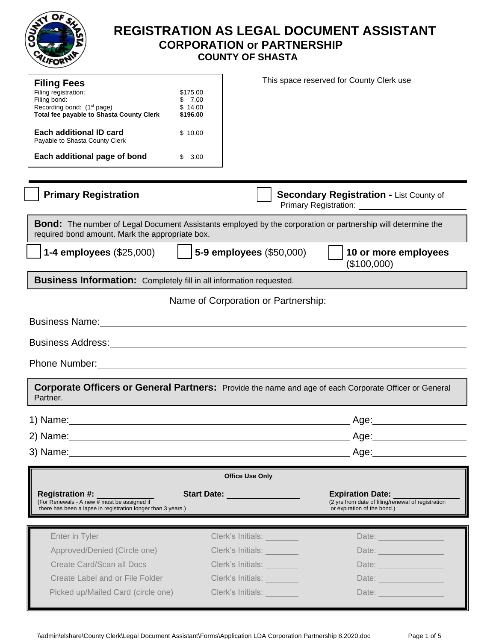

# **REGISTRATION AS LEGAL DOCUMENT ASSISTANT CORPORATION or PARTNERSHIP COUNTY OF SHASTA**

| <b>Filing Fees</b>                                                                                                                                                                                                             |                   |                                     | This space reserved for County Clerk use                                                                       |
|--------------------------------------------------------------------------------------------------------------------------------------------------------------------------------------------------------------------------------|-------------------|-------------------------------------|----------------------------------------------------------------------------------------------------------------|
| Filing registration:                                                                                                                                                                                                           | \$175.00          |                                     |                                                                                                                |
| Filing bond:<br>Recording bond: (1 <sup>st</sup> page)                                                                                                                                                                         | \$7.00<br>\$14.00 |                                     |                                                                                                                |
| <b>Total fee payable to Shasta County Clerk</b>                                                                                                                                                                                | \$196.00          |                                     |                                                                                                                |
| Each additional ID card<br>Payable to Shasta County Clerk                                                                                                                                                                      | \$10.00           |                                     |                                                                                                                |
| Each additional page of bond                                                                                                                                                                                                   | \$3.00            |                                     |                                                                                                                |
| <b>Primary Registration</b>                                                                                                                                                                                                    |                   |                                     | <b>Secondary Registration - List County of</b>                                                                 |
| <b>Bond:</b> The number of Legal Document Assistants employed by the corporation or partnership will determine the<br>required bond amount. Mark the appropriate box.                                                          |                   |                                     |                                                                                                                |
| <b>1-4 employees (\$25,000)</b>                                                                                                                                                                                                |                   | 5-9 employees (\$50,000)            | 10 or more employees<br>(\$100,000)                                                                            |
| <b>Business Information:</b> Completely fill in all information requested.                                                                                                                                                     |                   |                                     |                                                                                                                |
|                                                                                                                                                                                                                                |                   |                                     |                                                                                                                |
|                                                                                                                                                                                                                                |                   | Name of Corporation or Partnership: |                                                                                                                |
| Business Name: Name: Name and Security and Security and Security and Security and Security and Security and Security and Security and Security and Security and Security and Security and Security and Security and Security a |                   |                                     |                                                                                                                |
|                                                                                                                                                                                                                                |                   |                                     |                                                                                                                |
|                                                                                                                                                                                                                                |                   |                                     |                                                                                                                |
|                                                                                                                                                                                                                                |                   |                                     |                                                                                                                |
| <b>Corporate Officers or General Partners:</b> Provide the name and age of each Corporate Officer or General<br>Partner.                                                                                                       |                   |                                     |                                                                                                                |
| 1) Name:                                                                                                                                                                                                                       |                   |                                     | Age:_                                                                                                          |
|                                                                                                                                                                                                                                |                   |                                     |                                                                                                                |
|                                                                                                                                                                                                                                |                   |                                     |                                                                                                                |
|                                                                                                                                                                                                                                |                   | <b>Office Use Only</b>              |                                                                                                                |
| Registration #: ________<br>(For Renewals - A new # must be assigned if<br>there has been a lapse in registration longer than 3 years.)                                                                                        |                   | Start Date: New York 1997           | <b>Expiration Date:</b><br>(2 yrs from date of filing/renewal of registration<br>or expiration of the bond.)   |
|                                                                                                                                                                                                                                |                   |                                     |                                                                                                                |
| Enter in Tyler                                                                                                                                                                                                                 |                   | Clerk's Initials: University        | Date: <u>Date:</u>                                                                                             |
| Approved/Denied (Circle one)                                                                                                                                                                                                   |                   | Clerk's Initials:                   | Date: and the state of the state of the state of the state of the state of the state of the state of the state |
| Create Card/Scan all Docs                                                                                                                                                                                                      |                   | Clerk's Initials:                   | Date: Date:                                                                                                    |
| Create Label and or File Folder                                                                                                                                                                                                |                   |                                     |                                                                                                                |
|                                                                                                                                                                                                                                |                   | Clerk's Initials:                   | Date: <u>________________</u>                                                                                  |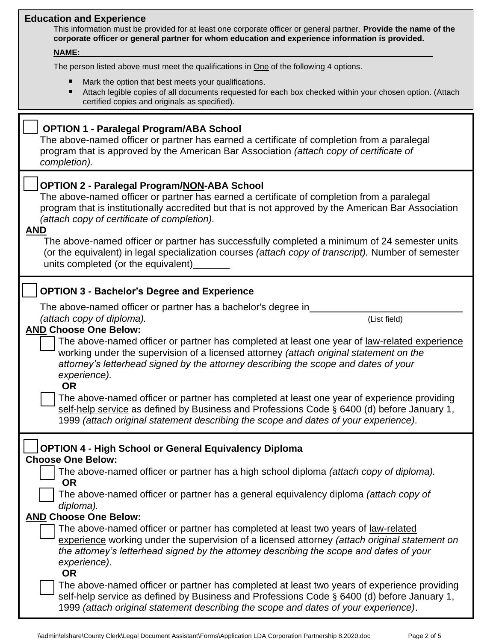### **Education and Experience**

This information must be provided for at least one corporate officer or general partner. **Provide the name of the corporate officer or general partner for whom education and experience information is provided.**

### *<sup>U</sup>***NAME:**

The person listed above must meet the qualifications in One of the following 4 options.

- Mark the option that best meets your qualifications.
- Attach legible copies of all documents requested for each box checked within your chosen option. (Attach certified copies and originals as specified).

| certified copies and originals as specified).                                                                                                                                                                                                                                                                                                                                                                                                                                                                                                                      |              |
|--------------------------------------------------------------------------------------------------------------------------------------------------------------------------------------------------------------------------------------------------------------------------------------------------------------------------------------------------------------------------------------------------------------------------------------------------------------------------------------------------------------------------------------------------------------------|--------------|
| <b>OPTION 1 - Paralegal Program/ABA School</b><br>The above-named officer or partner has earned a certificate of completion from a paralegal<br>program that is approved by the American Bar Association (attach copy of certificate of<br>completion).                                                                                                                                                                                                                                                                                                            |              |
| <b>OPTION 2 - Paralegal Program/NON-ABA School</b><br>The above-named officer or partner has earned a certificate of completion from a paralegal<br>program that is institutionally accredited but that is not approved by the American Bar Association<br>(attach copy of certificate of completion).<br><u>AND</u><br>The above-named officer or partner has successfully completed a minimum of 24 semester units<br>(or the equivalent) in legal specialization courses (attach copy of transcript). Number of semester<br>units completed (or the equivalent) |              |
| <b>OPTION 3 - Bachelor's Degree and Experience</b><br>The above-named officer or partner has a bachelor's degree in                                                                                                                                                                                                                                                                                                                                                                                                                                                |              |
| (attach copy of diploma).                                                                                                                                                                                                                                                                                                                                                                                                                                                                                                                                          | (List field) |
| <b>AND Choose One Below:</b><br>The above-named officer or partner has completed at least one year of law-related experience<br>working under the supervision of a licensed attorney (attach original statement on the                                                                                                                                                                                                                                                                                                                                             |              |
| attorney's letterhead signed by the attorney describing the scope and dates of your                                                                                                                                                                                                                                                                                                                                                                                                                                                                                |              |

*experience).* **OR**

 The above-named officer or partner has completed at least one year of experience providing self-help service as defined by Business and Professions Code § 6400 (d) before January 1, 1999 *(attach original statement describing the scope and dates of your experience).*

| <b>OPTION 4 - High School or General Equivalency Diploma</b>                                                                                                                                                                                                                                   |
|------------------------------------------------------------------------------------------------------------------------------------------------------------------------------------------------------------------------------------------------------------------------------------------------|
| <b>Choose One Below:</b>                                                                                                                                                                                                                                                                       |
| The above-named officer or partner has a high school diploma <i>(attach copy of diploma).</i><br><b>OR</b>                                                                                                                                                                                     |
| The above-named officer or partner has a general equivalency diploma (attach copy of<br>diploma).                                                                                                                                                                                              |
| <b>AND Choose One Below:</b>                                                                                                                                                                                                                                                                   |
| The above-named officer or partner has completed at least two years of law-related<br>experience working under the supervision of a licensed attorney (attach original statement on<br>the attorney's letterhead signed by the attorney describing the scope and dates of your<br>experience). |
| <b>OR</b>                                                                                                                                                                                                                                                                                      |
| The above-named officer or partner has completed at least two years of experience providing<br>self-help service as defined by Business and Professions Code § 6400 (d) before January 1,<br>1999 (attach original statement describing the scope and dates of your experience).               |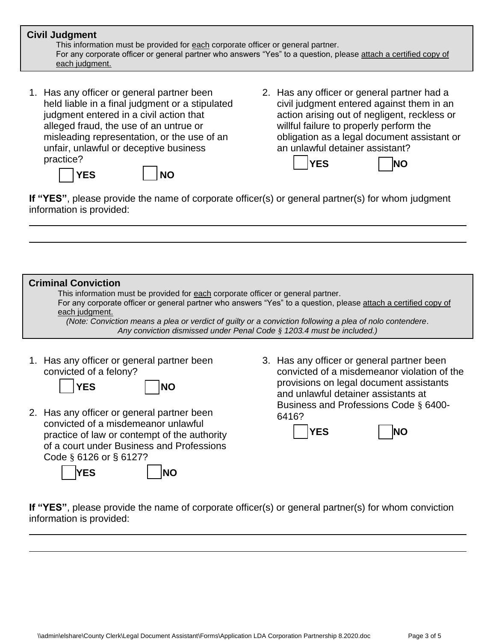## **Civil Judgment**

This information must be provided for **each** corporate officer or general partner. For any corporate officer or general partner who answers "Yes" to a question, please attach a certified copy of each judgment.

1. Has any officer or general partner been held liable in a final judgment or a stipulated judgment entered in a civil action that alleged fraud, the use of an untrue or misleading representation, or the use of an unfair, unlawful or deceptive business practice?

YES **NO** 

practice of law or contempt of the authority of a court under Business and Professions

YES | |NO

Code § 6126 or § 6127?

2. Has any officer or general partner had a civil judgment entered against them in an action arising out of negligent, reckless or willful failure to properly perform the obligation as a legal document assistant or an unlawful detainer assistant?



**If "YES"**, please provide the name of corporate officer(s) or general partner(s) for whom judgment information is provided:

#### 1. Has any officer or general partner been convicted of a felony? YES | NO 2. Has any officer or general partner been convicted of a misdemeanor unlawful 3. Has any officer or general partner been convicted of a misdemeanor violation of the provisions on legal document assistants and unlawful detainer assistants at Business and Professions Code § 6400- 6416? **Criminal Conviction** This information must be provided for **each** corporate officer or general partner. For any corporate officer or general partner who answers "Yes" to a question, please attach a certified copy of each judgment. *(Note: Conviction means a plea or verdict of guilty or a conviction following a plea of nolo contendere. Any conviction dismissed under Penal Code § 1203.4 must be included.)*

- YES | **NO** 
	-

**If "YES"**, please provide the name of corporate officer(s) or general partner(s) for whom conviction information is provided: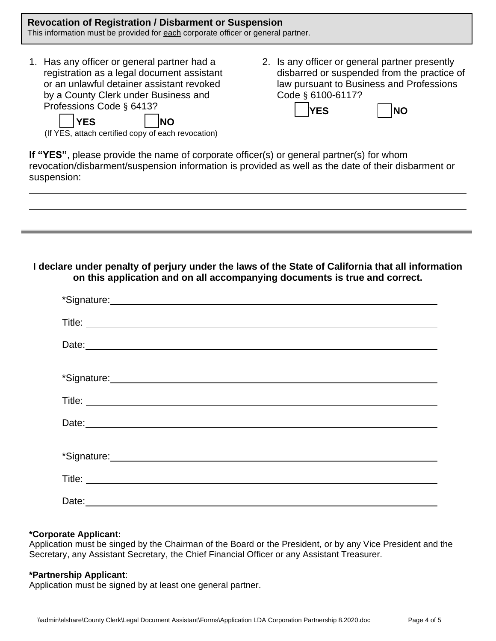### **Revocation of Registration / Disbarment or Suspension** This information must be provided for **each** corporate officer or general partner.

- 1. Has any officer or general partner had a registration as a legal document assistant or an unlawful detainer assistant revoked by a County Clerk under Business and Professions Code § 6413?
- 2. Is any officer or general partner presently disbarred or suspended from the practice of law pursuant to Business and Professions Code § 6100-6117?

**YES NO**

| ۰. |
|----|
|----|

(If YES, attach certified copy of each revocation)

YES **NO** 

**If "YES"**, please provide the name of corporate officer(s) or general partner(s) for whom revocation/disbarment/suspension information is provided as well as the date of their disbarment or suspension:

## **I declare under penalty of perjury under the laws of the State of California that all information on this application and on all accompanying documents is true and correct.**

| *Signature: <u>contained</u> the contained and contained a series of the contained and contained a series of the contained and contained a series of the contained and contained a series of the contained and contained a series o  |
|--------------------------------------------------------------------------------------------------------------------------------------------------------------------------------------------------------------------------------------|
|                                                                                                                                                                                                                                      |
| Date: <u>contract and a series of the series of the series of the series of the series of the series of the series of the series of the series of the series of the series of the series of the series of the series of the seri</u> |
|                                                                                                                                                                                                                                      |
| *Signature: <u>contained</u> the contained and contained a state of the contained and contained a state of the contained and contained a state of the contained and contained a state of the contact of the contact of the contact   |
|                                                                                                                                                                                                                                      |
| Date: <u>contract and a series of the series of the series of the series of the series of the series of the series of the series of the series of the series of the series of the series of the series of the series of the seri</u> |
|                                                                                                                                                                                                                                      |
| *Signature: Management of the Contract of the Contract of the Contract of the Contract of the Contract of the Contract of the Contract of the Contract of the Contract of the Contract of the Contract of the Contract of the        |
|                                                                                                                                                                                                                                      |
|                                                                                                                                                                                                                                      |

## **\*Corporate Applicant:**

Application must be singed by the Chairman of the Board or the President, or by any Vice President and the Secretary, any Assistant Secretary, the Chief Financial Officer or any Assistant Treasurer.

## **\*Partnership Applicant**:

Application must be signed by at least one general partner.